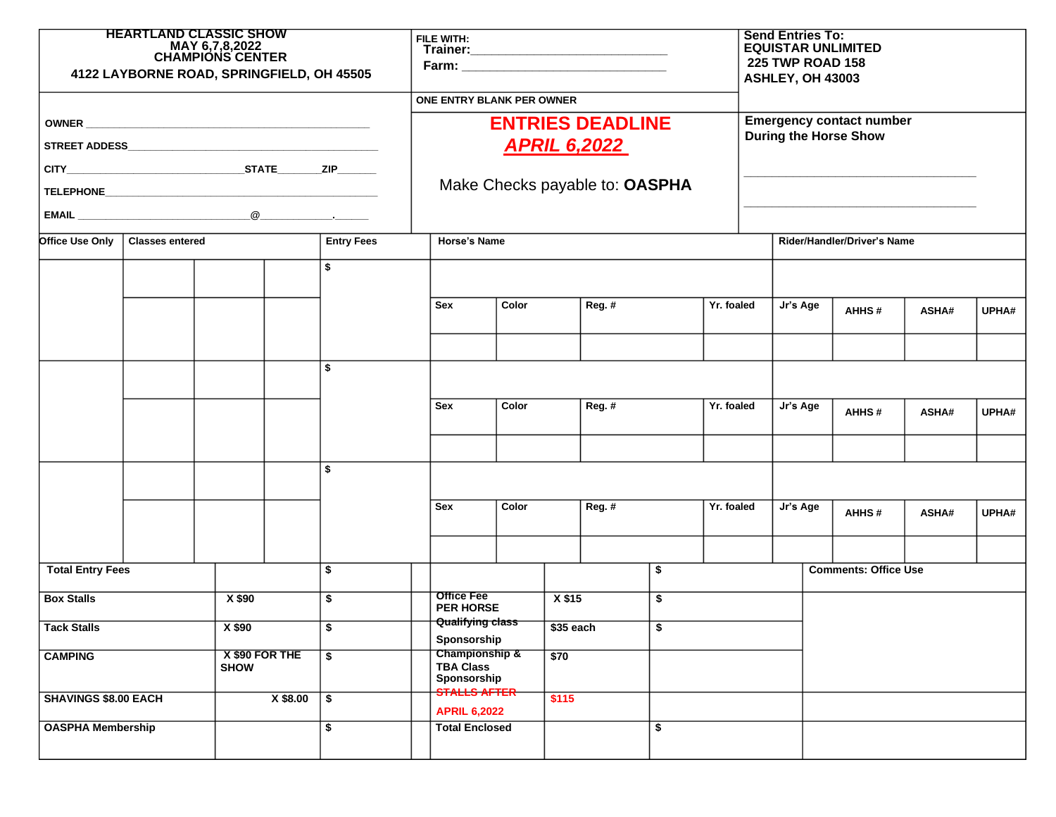| <b>HEARTLAND CLASSIC SHOW</b><br>MAY 6,7,8,2022<br>CHAMPIONS CENTER<br>4122 LAYBORNE ROAD, SPRINGFIELD, OH 45505 |  |                               |                           | FILE WITH:                                                                       |                                                   |  |                                    |    |            | <b>Send Entries To:</b><br><b>EQUISTAR UNLIMITED</b><br>225 TWP ROAD 158<br>ASHLEY, OH 43003 |                             |                             |       |       |  |
|------------------------------------------------------------------------------------------------------------------|--|-------------------------------|---------------------------|----------------------------------------------------------------------------------|---------------------------------------------------|--|------------------------------------|----|------------|----------------------------------------------------------------------------------------------|-----------------------------|-----------------------------|-------|-------|--|
|                                                                                                                  |  |                               |                           | ONE ENTRY BLANK PER OWNER                                                        |                                                   |  |                                    |    |            |                                                                                              |                             |                             |       |       |  |
|                                                                                                                  |  |                               |                           | <b>ENTRIES DEADLINE</b><br><b>APRIL 6,2022</b><br>Make Checks payable to: OASPHA |                                                   |  |                                    |    |            | <b>Emergency contact number</b><br><b>During the Horse Show</b>                              |                             |                             |       |       |  |
|                                                                                                                  |  |                               |                           |                                                                                  |                                                   |  |                                    |    |            |                                                                                              |                             |                             |       |       |  |
|                                                                                                                  |  |                               |                           |                                                                                  |                                                   |  |                                    |    |            |                                                                                              |                             |                             |       |       |  |
|                                                                                                                  |  |                               |                           |                                                                                  |                                                   |  |                                    |    |            |                                                                                              |                             |                             |       |       |  |
|                                                                                                                  |  |                               |                           |                                                                                  |                                                   |  |                                    |    |            |                                                                                              |                             |                             |       |       |  |
| <b>Office Use Only</b><br><b>Entry Fees</b><br>Classes entered                                                   |  |                               |                           | <b>Horse's Name</b>                                                              |                                                   |  |                                    |    |            |                                                                                              | Rider/Handler/Driver's Name |                             |       |       |  |
|                                                                                                                  |  |                               | \$                        |                                                                                  |                                                   |  |                                    |    |            |                                                                                              |                             |                             |       |       |  |
|                                                                                                                  |  |                               |                           | Sex                                                                              | Color                                             |  | Reg. #                             |    | Yr. foaled |                                                                                              | Jr's Age                    | AHHS#                       | ASHA# | UPHA# |  |
|                                                                                                                  |  |                               |                           |                                                                                  |                                                   |  |                                    |    |            |                                                                                              |                             |                             |       |       |  |
|                                                                                                                  |  |                               | \$                        |                                                                                  |                                                   |  |                                    |    |            |                                                                                              |                             |                             |       |       |  |
|                                                                                                                  |  |                               |                           | <b>Sex</b>                                                                       | Color                                             |  | Reg. #                             |    | Yr. foaled |                                                                                              | Jr's Age                    | AHHS#                       | ASHA# | UPHA# |  |
|                                                                                                                  |  |                               |                           |                                                                                  |                                                   |  |                                    |    |            |                                                                                              |                             |                             |       |       |  |
|                                                                                                                  |  |                               | \$                        |                                                                                  |                                                   |  |                                    |    |            |                                                                                              |                             |                             |       |       |  |
|                                                                                                                  |  |                               |                           | Sex                                                                              | Color                                             |  | Reg. #                             |    | Yr. foaled | Jr's Age                                                                                     |                             | AHHS#                       | ASHA# | UPHA# |  |
|                                                                                                                  |  |                               |                           |                                                                                  |                                                   |  |                                    |    |            |                                                                                              |                             |                             |       |       |  |
| <b>Total Entry Fees</b><br>\$                                                                                    |  |                               |                           |                                                                                  |                                                   |  |                                    | \$ |            |                                                                                              |                             | <b>Comments: Office Use</b> |       |       |  |
| <b>Box Stalls</b>                                                                                                |  | X \$90                        | \$                        | <b>Office Fee</b><br><b>PER HORSE</b>                                            |                                                   |  | X \$15<br>\$                       |    |            |                                                                                              |                             |                             |       |       |  |
| <b>Tack Stalls</b>                                                                                               |  | X \$90                        | $\overline{\$}$           |                                                                                  | <b>Qualifying class</b><br>Sponsorship            |  | $$35$ each<br>$\overline{\bullet}$ |    |            |                                                                                              |                             |                             |       |       |  |
| <b>CAMPING</b>                                                                                                   |  | X \$90 FOR THE<br><b>SHOW</b> | \$                        |                                                                                  | Championship &<br><b>TBA Class</b><br>Sponsorship |  | \$70                               |    |            |                                                                                              |                             |                             |       |       |  |
| <b>SHAVINGS \$8.00 EACH</b>                                                                                      |  | X \$8.00                      | $\overline{\mathfrak{s}}$ |                                                                                  | STALLS AFTER<br><b>APRIL 6,2022</b>               |  | \$115                              |    |            |                                                                                              |                             |                             |       |       |  |
| <b>OASPHA Membership</b>                                                                                         |  |                               | \$                        |                                                                                  | <b>Total Enclosed</b>                             |  |                                    | \$ |            |                                                                                              |                             |                             |       |       |  |